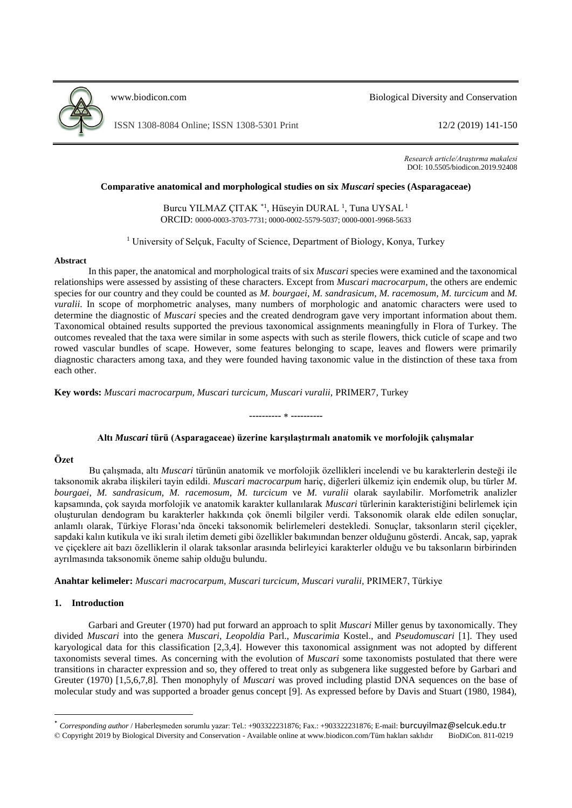

[www.biodicon.com](http://www.biodicon.com/) Biological Diversity and Conservation

ISSN 1308-8084 Online; ISSN 1308-5301 Print 12/2 (2019) 141-150

*Research article/Araştırma makalesi* DOI: 10.5505/biodicon.2019.92408

## **Comparative anatomical and morphological studies on six** *Muscari* **species (Asparagaceae)**

Burcu YILMAZ ÇITAK<sup>\*1</sup>, Hüseyin DURAL<sup>1</sup>, Tuna UYSAL<sup>1</sup> ORCID: 0000-0003-3703-7731; 0000-0002-5579-5037; 0000-0001-9968-5633

<sup>1</sup> University of Selçuk, Faculty of Science, Department of Biology, Konya, Turkey

#### **Abstract**

In this paper, the anatomical and morphological traits of six *Muscari* species were examined and the taxonomical relationships were assessed by assisting of these characters. Except from *Muscari macrocarpum*, the others are endemic species for our country and they could be counted as *M. bourgaei*, *M. sandrasicum*, *M. racemosum*, *M. turcicum* and *M. vuralii*. In scope of morphometric analyses, many numbers of morphologic and anatomic characters were used to determine the diagnostic of *Muscari* species and the created dendrogram gave very important information about them. Taxonomical obtained results supported the previous taxonomical assignments meaningfully in Flora of Turkey. The outcomes revealed that the taxa were similar in some aspects with such as sterile flowers, thick cuticle of scape and two rowed vascular bundles of scape. However, some features belonging to scape, leaves and flowers were primarily diagnostic characters among taxa, and they were founded having taxonomic value in the distinction of these taxa from each other.

**Key words:** *Muscari macrocarpum, Muscari turcicum, Muscari vuralii,* PRIMER7*,* Turkey

# **---------- ----------**

### **Altı** *Muscari* **türü (Asparagaceae) üzerine karşılaştırmalı anatomik ve morfolojik çalışmalar**

## **Özet**

Bu çalışmada, altı *Muscari* türünün anatomik ve morfolojik özellikleri incelendi ve bu karakterlerin desteği ile taksonomik akraba ilişkileri tayin edildi. *Muscari macrocarpum* hariç, diğerleri ülkemiz için endemik olup, bu türler *M. bourgaei*, *M. sandrasicum*, *M. racemosum*, *M. turcicum* ve *M. vuralii* olarak sayılabilir. Morfometrik analizler kapsamında, çok sayıda morfolojik ve anatomik karakter kullanılarak *Muscari* türlerinin karakteristiğini belirlemek için oluşturulan dendogram bu karakterler hakkında çok önemli bilgiler verdi. Taksonomik olarak elde edilen sonuçlar, anlamlı olarak, Türkiye Florası'nda önceki taksonomik belirlemeleri destekledi. Sonuçlar, taksonların steril çiçekler, sapdaki kalın kutikula ve iki sıralı iletim demeti gibi özellikler bakımından benzer olduğunu gösterdi. Ancak, sap, yaprak ve çiçeklere ait bazı özelliklerin il olarak taksonlar arasında belirleyici karakterler olduğu ve bu taksonların birbirinden ayrılmasında taksonomik öneme sahip olduğu bulundu.

**Anahtar kelimeler:** *Muscari macrocarpum, Muscari turcicum, Muscari vuralii,* PRIMER7, Türkiye

## **1. Introduction**

**.** 

Garbari and Greuter (1970) had put forward an approach to split *Muscari* Miller genus by taxonomically. They divided *Muscari* into the genera *Muscari*, *Leopoldia* Parl., *Muscarimia* Kostel., and *Pseudomuscari* [1]. They used karyological data for this classification [2,3,4]. However this taxonomical assignment was not adopted by different taxonomists several times. As concerning with the evolution of *Muscari* some taxonomists postulated that there were transitions in character expression and so, they offered to treat only as subgenera like suggested before by Garbari and Greuter (1970) [1,5,6,7,8]. Then monophyly of *Muscari* was proved including plastid DNA sequences on the base of molecular study and was supported a broader genus concept [9]. As expressed before by Davis and Stuart (1980, 1984),

<sup>\*</sup> *Corresponding author* / Haberleşmeden sorumlu yazar: Tel.: +903322231876; Fax.: +903322231876; E-mail: burcuyilmaz@selcuk.edu.tr © Copyright 2019 by Biological Diversity and Conservation - Available online at www.biodicon.com/Tüm hakları saklıdır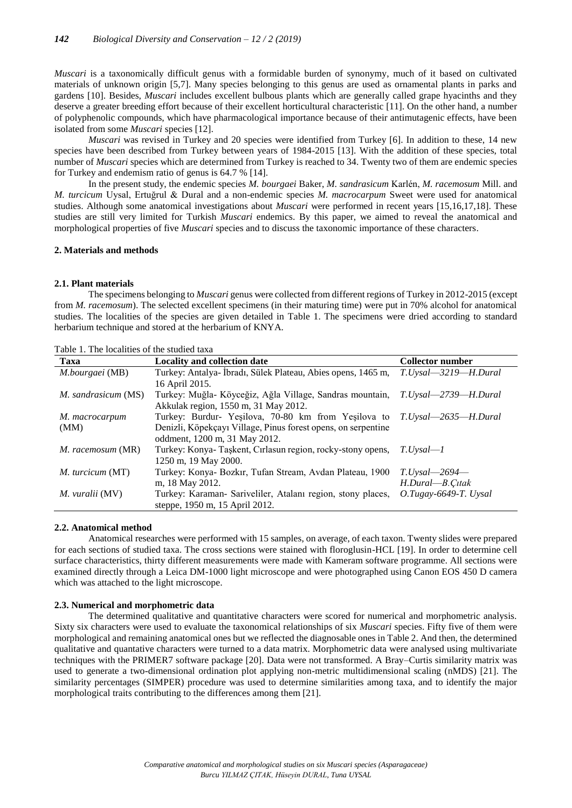*Muscari* is a taxonomically difficult genus with a formidable burden of synonymy, much of it based on cultivated materials of unknown origin [5,7]. Many species belonging to this genus are used as ornamental plants in parks and gardens [10]. Besides, *Muscari* includes excellent bulbous plants which are generally called grape hyacinths and they deserve a greater breeding effort because of their excellent horticultural characteristic [11]. On the other hand, a number of polyphenolic compounds, which have pharmacological importance because of their antimutagenic effects, have been isolated from some *Muscari* species [12].

*Muscari* was revised in Turkey and 20 species were identified from Turkey [6]. In addition to these, 14 new species have been described from Turkey between years of 1984-2015 [13]. With the addition of these species, total number of *Muscari* species which are determined from Turkey is reached to 34. Twenty two of them are endemic species for Turkey and endemism ratio of genus is 64.7 % [14].

In the present study, the endemic species *M. bourgaei* Baker, *M. sandrasicum* Karlén, *M. racemosum* Mill. and *M. turcicum* Uysal, Ertuğrul & Dural and a non-endemic species *M. macrocarpum* Sweet were used for anatomical studies. Although some anatomical investigations about *Muscari* were performed in recent years [15,16,17,18]. These studies are still very limited for Turkish *Muscari* endemics. By this paper, we aimed to reveal the anatomical and morphological properties of five *Muscari* species and to discuss the taxonomic importance of these characters.

## **2. Materials and methods**

### **2.1. Plant materials**

The specimens belonging to *Muscari* genus were collected from different regions of Turkey in 2012-2015 (except from *M. racemosum*). The selected excellent specimens (in their maturing time) were put in 70% alcohol for anatomical studies. The localities of the species are given detailed in Table 1. The specimens were dried according to standard herbarium technique and stored at the herbarium of KNYA.

| Taxa                    | <b>Locality and collection date</b>                                      | <b>Collector number</b> |
|-------------------------|--------------------------------------------------------------------------|-------------------------|
| M.bourgaei (MB)         | Turkey: Antalya- İbradı, Sülek Plateau, Abies opens, 1465 m,             | T.Uysal-3219-H.Dural    |
|                         | 16 April 2015.                                                           |                         |
| M. sandrasicum (MS)     | Turkey: Muğla- Köyceğiz, Ağla Village, Sandras mountain,                 | T.Uysal—2739—H.Dural    |
|                         | Akkulak region, 1550 m, 31 May 2012.                                     |                         |
| M. macrocarpum          | Turkey: Burdur- Yeşilova, 70-80 km from Yeşilova to T.Uysal—2635—H.Dural |                         |
| (MM)                    | Denizli, Köpekçayı Village, Pinus forest opens, on serpentine            |                         |
|                         | oddment, 1200 m, 31 May 2012.                                            |                         |
| M. racemosum (MR)       | Turkey: Konya-Taşkent, Cırlasun region, rocky-stony opens,               | $T.Uvsal-1$             |
|                         | 1250 m, 19 May 2000.                                                     |                         |
| <i>M. turcicum</i> (MT) | Turkey: Konya- Bozkır, Tufan Stream, Avdan Plateau, 1900                 | $T.Uysal$ -2694-        |
|                         | m, 18 May 2012.                                                          | H.Dural-B.Çıtak         |
| <i>M. vuralii</i> (MV)  | Turkey: Karaman- Sariveliler, Atalanı region, stony places,              | $O.Tugay-6649-T. Uysal$ |
|                         | steppe, 1950 m, 15 April 2012.                                           |                         |

Table 1. The localities of the studied taxa

### **2.2. Anatomical method**

Anatomical researches were performed with 15 samples, on average, of each taxon. Twenty slides were prepared for each sections of studied taxa. The cross sections were stained with floroglusin-HCL [19]. In order to determine cell surface characteristics, thirty different measurements were made with Kameram software programme. All sections were examined directly through a Leica DM-1000 light microscope and were photographed using Canon EOS 450 D camera which was attached to the light microscope.

### **2.3. Numerical and morphometric data**

The determined qualitative and quantitative characters were scored for numerical and morphometric analysis. Sixty six characters were used to evaluate the taxonomical relationships of six *Muscari* species. Fifty five of them were morphological and remaining anatomical ones but we reflected the diagnosable ones in Table 2. And then, the determined qualitative and quantative characters were turned to a data matrix. Morphometric data were analysed using multivariate techniques with the PRIMER7 software package [20]. Data were not transformed. A Bray–Curtis similarity matrix was used to generate a two-dimensional ordination plot applying non-metric multidimensional scaling (nMDS) [21]. The similarity percentages (SIMPER) procedure was used to determine similarities among taxa, and to identify the major morphological traits contributing to the differences among them [21].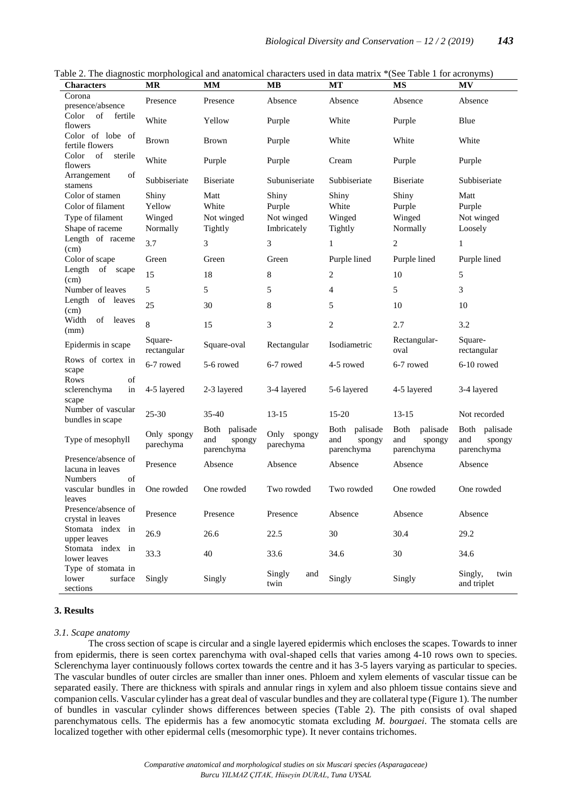| <b>Characters</b>                                                           | <b>MR</b>                             | <b>MM</b>                                       | <b>MB</b>                                    | <b>MT</b>                                              | <b>MS</b>                                              | <b>MV</b>                                       |
|-----------------------------------------------------------------------------|---------------------------------------|-------------------------------------------------|----------------------------------------------|--------------------------------------------------------|--------------------------------------------------------|-------------------------------------------------|
| Corona<br>presence/absence                                                  | Presence                              | Presence                                        | Absence                                      | Absence                                                | Absence                                                | Absence                                         |
| of<br>Color<br>fertile<br>flowers                                           | White                                 | Yellow                                          | Purple                                       | White                                                  | Purple                                                 | Blue                                            |
| Color of lobe of<br>fertile flowers                                         | <b>Brown</b>                          | <b>Brown</b>                                    | Purple                                       | White                                                  | White                                                  | White                                           |
| of<br>Color<br>sterile<br>flowers                                           | White                                 | Purple                                          | Purple                                       | Cream                                                  | Purple                                                 | Purple                                          |
| of<br>Arrangement<br>stamens                                                | Subbiseriate                          | <b>Biseriate</b>                                | Subuniseriate                                | Subbiseriate                                           | <b>B</b> iseriate                                      | Subbiseriate                                    |
| Color of stamen<br>Color of filament<br>Type of filament<br>Shape of raceme | Shiny<br>Yellow<br>Winged<br>Normally | Matt<br>White<br>Not winged<br>Tightly          | Shiny<br>Purple<br>Not winged<br>Imbricately | Shiny<br>White<br>Winged<br>Tightly                    | Shiny<br>Purple<br>Winged<br>Normally                  | Matt<br>Purple<br>Not winged<br>Loosely         |
| Length of raceme                                                            | 3.7                                   | 3                                               | 3                                            | $\mathbf{1}$                                           | $\overline{c}$                                         | 1                                               |
| (cm)<br>Color of scape                                                      | Green                                 | Green                                           | Green                                        | Purple lined                                           | Purple lined                                           | Purple lined                                    |
| Length of scape<br>(cm)                                                     | 15                                    | 18                                              | 8                                            | $\overline{c}$                                         | 10                                                     | 5                                               |
| Number of leaves                                                            | 5                                     | 5                                               | 5                                            | $\overline{4}$                                         | 5                                                      | 3                                               |
| Length of leaves<br>(cm)                                                    | 25                                    | 30                                              | 8                                            | 5                                                      | 10                                                     | 10                                              |
| Width<br>of leaves<br>(mm)                                                  | 8                                     | 15                                              | 3                                            | $\mathbf{2}$                                           | 2.7                                                    | 3.2                                             |
| Epidermis in scape                                                          | Square-<br>rectangular                | Square-oval                                     | Rectangular                                  | Isodiametric                                           | Rectangular-<br>oval                                   | Square-<br>rectangular                          |
| Rows of cortex in<br>scape                                                  | 6-7 rowed                             | 5-6 rowed                                       | 6-7 rowed                                    | 4-5 rowed                                              | 6-7 rowed                                              | 6-10 rowed                                      |
| Rows<br>of<br>sclerenchyma<br>in<br>scape                                   | 4-5 layered                           | 2-3 layered                                     | 3-4 layered                                  | 5-6 layered                                            | 4-5 layered                                            | 3-4 layered                                     |
| Number of vascular<br>bundles in scape                                      | $25 - 30$                             | $35 - 40$                                       | $13 - 15$                                    | 15-20                                                  | $13 - 15$                                              | Not recorded                                    |
| Type of mesophyll                                                           | Only spongy<br>parechyma              | Both<br>palisade<br>and<br>spongy<br>parenchyma | Only<br>spongy<br>parechyma                  | <b>Both</b><br>palisade<br>and<br>spongy<br>parenchyma | <b>Both</b><br>palisade<br>and<br>spongy<br>parenchyma | Both<br>palisade<br>and<br>spongy<br>parenchyma |
| Presence/absence of<br>lacuna in leaves                                     | Presence                              | Absence                                         | Absence                                      | Absence                                                | Absence                                                | Absence                                         |
| Numbers<br>of<br>vascular bundles in<br>leaves                              | One rowded                            | One rowded                                      | Two rowded                                   | Two rowded                                             | One rowded                                             | One rowded                                      |
| Presence/absence of<br>crystal in leaves                                    | Presence                              | Presence                                        | Presence                                     | Absence                                                | Absence                                                | Absence                                         |
| Stomata index in<br>upper leaves                                            | 26.9                                  | 26.6                                            | 22.5                                         | 30                                                     | 30.4                                                   | 29.2                                            |
| Stomata index in<br>lower leaves                                            | 33.3                                  | 40                                              | 33.6                                         | 34.6                                                   | 30                                                     | 34.6                                            |
| Type of stomata in<br>lower<br>surface<br>sections                          | Singly                                | Singly                                          | Singly<br>and<br>twin                        | Singly                                                 | Singly                                                 | Singly,<br>twin<br>and triplet                  |

Table 2. The diagnostic morphological and anatomical characters used in data matrix \*(See Table 1 for acronyms)

# **3. Results**

### *3.1. Scape anatomy*

The cross section of scape is circular and a single layered epidermis which encloses the scapes. Towards to inner from epidermis, there is seen cortex parenchyma with oval-shaped cells that varies among 4-10 rows own to species. Sclerenchyma layer continuously follows cortex towards the centre and it has 3-5 layers varying as particular to species. The vascular bundles of outer circles are smaller than inner ones. Phloem and xylem elements of vascular tissue can be separated easily. There are thickness with spirals and annular rings in xylem and also phloem tissue contains sieve and companion cells. Vascular cylinder has a great deal of vascular bundles and they are collateral type (Figure 1). The number of bundles in vascular cylinder shows differences between species (Table 2). The pith consists of oval shaped parenchymatous cells. The epidermis has a few anomocytic stomata excluding *M. bourgaei*. The stomata cells are localized together with other epidermal cells (mesomorphic type). It never contains trichomes.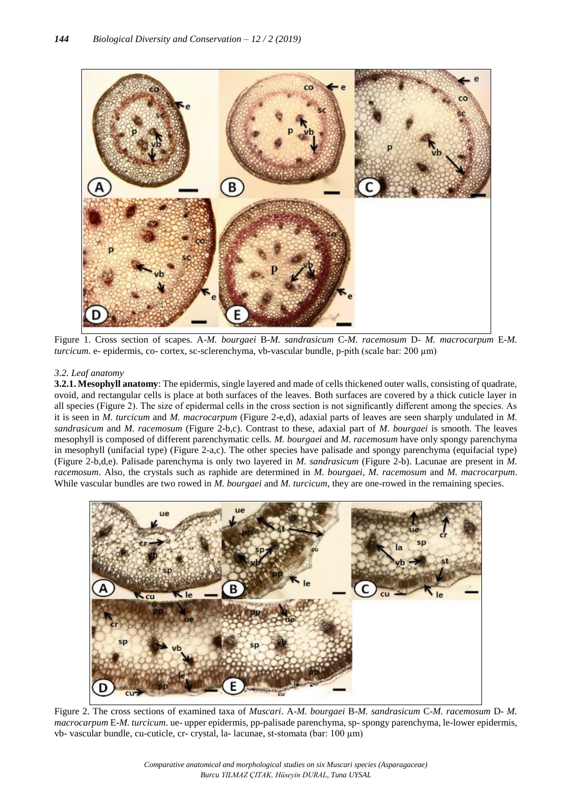

Figure 1. Cross section of scapes. A-*M. bourgaei* B-*M. sandrasicum* C-*M. racemosum* D- *M. macrocarpum* E-*M. turcicum*. e- epidermis, co- cortex, sc-sclerenchyma, vb-vascular bundle, p-pith (scale bar: 200 µm)

# *3.2. Leaf anatomy*

**3.2.1. Mesophyll anatomy**: The epidermis, single layered and made of cells thickened outer walls, consisting of quadrate, ovoid, and rectangular cells is place at both surfaces of the leaves. Both surfaces are covered by a thick cuticle layer in all species (Figure 2). The size of epidermal cells in the cross section is not significantly different among the species. As it is seen in *M. turcicum* and *M. macrocarpum* (Figure 2-e,d), adaxial parts of leaves are seen sharply undulated in *M. sandrasicum* and *M. racemosum* (Figure 2-b,c). Contrast to these, adaxial part of *M. bourgaei* is smooth. The leaves mesophyll is composed of different parenchymatic cells. *M. bourgaei* and *M. racemosum* have only spongy parenchyma in mesophyll (unifacial type) (Figure 2-a,c). The other species have palisade and spongy parenchyma (equifacial type) (Figure 2-b,d,e). Palisade parenchyma is only two layered in *M. sandrasicum* (Figure 2-b). Lacunae are present in *M. racemosum*. Also, the crystals such as raphide are determined in *M. bourgaei*, *M. racemosum* and *M. macrocarpum*. While vascular bundles are two rowed in *M. bourgaei* and *M. turcicum*, they are one-rowed in the remaining species.



Figure 2. The cross sections of examined taxa of *Muscari*. A-*M. bourgaei* B-*M. sandrasicum* C-*M. racemosum* D- *M. macrocarpum* E-*M. turcicum*. ue- upper epidermis, pp-palisade parenchyma, sp- spongy parenchyma, le-lower epidermis, vb- vascular bundle, cu-cuticle, cr- crystal, la- lacunae, st-stomata (bar: 100 µm)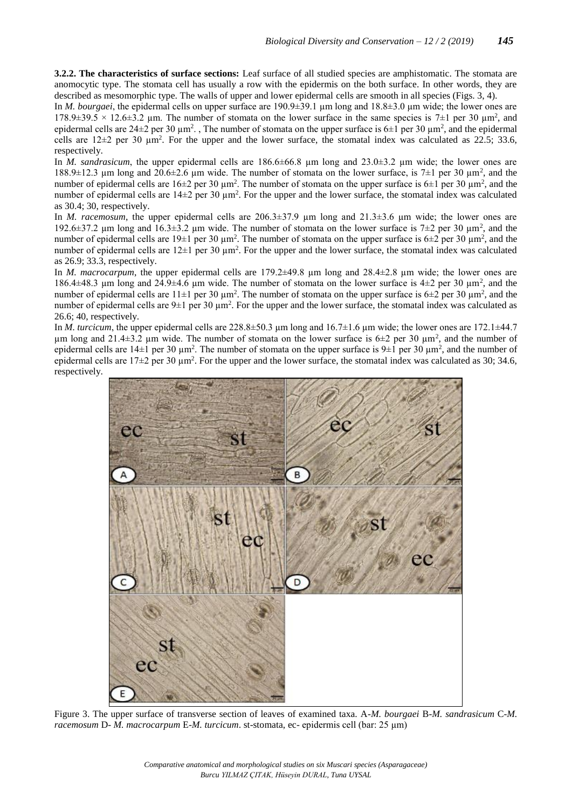**3.2.2. The characteristics of surface sections:** Leaf surface of all studied species are amphistomatic. The stomata are anomocytic type. The stomata cell has usually a row with the epidermis on the both surface. In other words, they are described as mesomorphic type. The walls of upper and lower epidermal cells are smooth in all species (Figs. 3, 4).

In *M. bourgaei*, the epidermal cells on upper surface are 190.9 $\pm$ 39.1 µm long and 18.8 $\pm$ 3.0 µm wide; the lower ones are 178.9 $\pm$ 39.5 × 12.6 $\pm$ 3.2 µm. The number of stomata on the lower surface in the same species is 7 $\pm$ 1 per 30 µm<sup>2</sup>, and epidermal cells are  $24\pm2$  per 30  $\mu$ m<sup>2</sup>., The number of stomata on the upper surface is 6 $\pm1$  per 30  $\mu$ m<sup>2</sup>, and the epidermal cells are  $12\pm2$  per 30  $\mu$ m<sup>2</sup>. For the upper and the lower surface, the stomatal index was calculated as 22.5; 33.6, respectively.

In *M. sandrasicum*, the upper epidermal cells are 186.6 $\pm$ 66.8 µm long and 23.0 $\pm$ 3.2 µm wide; the lower ones are 188.9 $\pm$ 12.3 µm long and 20.6 $\pm$ 2.6 µm wide. The number of stomata on the lower surface, is 7 $\pm$ 1 per 30 µm<sup>2</sup>, and the number of epidermal cells are  $16\pm 2$  per 30  $\mu$ m<sup>2</sup>. The number of stomata on the upper surface is  $6\pm 1$  per 30  $\mu$ m<sup>2</sup>, and the number of epidermal cells are  $14\pm 2$  per 30  $\mu$ m<sup>2</sup>. For the upper and the lower surface, the stomatal index was calculated as 30.4; 30, respectively.

In *M. racemosum*, the upper epidermal cells are 206.3±37.9 µm long and 21.3±3.6 µm wide; the lower ones are 192.6 $\pm$ 37.2 µm long and 16.3 $\pm$ 3.2 µm wide. The number of stomata on the lower surface is 7 $\pm$ 2 per 30 µm<sup>2</sup>, and the number of epidermal cells are 19 $\pm$ 1 per 30  $\mu$ m<sup>2</sup>. The number of stomata on the upper surface is 6 $\pm$ 2 per 30  $\mu$ m<sup>2</sup>, and the number of epidermal cells are  $12\pm 1$  per 30  $\mu$ m<sup>2</sup>. For the upper and the lower surface, the stomatal index was calculated as 26.9; 33.3, respectively.

In *M. macrocarpum*, the upper epidermal cells are 179.2 $\pm$ 49.8 µm long and 28.4 $\pm$ 2.8 µm wide; the lower ones are 186.4 $\pm$ 48.3 µm long and 24.9 $\pm$ 4.6 µm wide. The number of stomata on the lower surface is 4 $\pm$ 2 per 30 µm<sup>2</sup>, and the number of epidermal cells are  $11\pm1$  per 30  $\mu$ m<sup>2</sup>. The number of stomata on the upper surface is 6 $\pm$ 2 per 30  $\mu$ m<sup>2</sup>, and the number of epidermal cells are  $9\pm 1$  per 30  $\mu$ m<sup>2</sup>. For the upper and the lower surface, the stomatal index was calculated as 26.6; 40, respectively.

In *M. turcicum*, the upper epidermal cells are 228.8±50.3 µm long and 16.7±1.6 µm wide; the lower ones are 172.1±44.7  $\mu$ m long and 21.4 $\pm$ 3.2  $\mu$ m wide. The number of stomata on the lower surface is 6 $\pm$ 2 per 30  $\mu$ m<sup>2</sup>, and the number of epidermal cells are  $14\pm1$  per 30  $\mu$ m<sup>2</sup>. The number of stomata on the upper surface is  $9\pm1$  per 30  $\mu$ m<sup>2</sup>, and the number of epidermal cells are  $17\pm2$  per 30  $\mu$ m<sup>2</sup>. For the upper and the lower surface, the stomatal index was calculated as 30; 34.6, respectively.



Figure 3. The upper surface of transverse section of leaves of examined taxa. A-*M. bourgaei* B-*M. sandrasicum* C-*M. racemosum* D- *M. macrocarpum* E-*M. turcicum*. st-stomata, ec- epidermis cell (bar: 25 µm)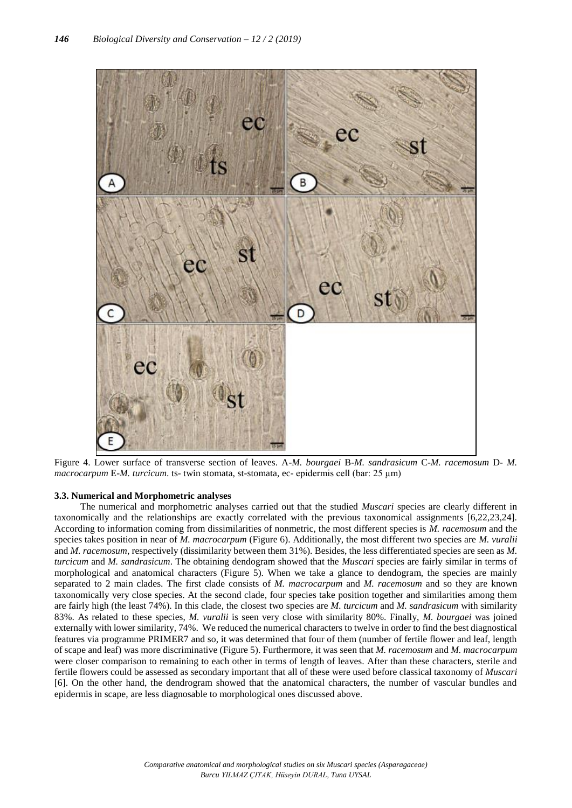

Figure 4. Lower surface of transverse section of leaves. A-*M. bourgaei* B-*M. sandrasicum* C-*M. racemosum* D- *M. macrocarpum* E-*M. turcicum.* ts- twin stomata, st-stomata, ec- epidermis cell (bar: 25 µm)

### **3.3. Numerical and Morphometric analyses**

The numerical and morphometric analyses carried out that the studied *Muscari* species are clearly different in taxonomically and the relationships are exactly correlated with the previous taxonomical assignments [6,22,23,24]. According to information coming from dissimilarities of nonmetric, the most different species is *M. racemosum* and the species takes position in near of *M. macrocarpum* (Figure 6). Additionally, the most different two species are *M. vuralii* and *M. racemosum*, respectively (dissimilarity between them 31%). Besides, the less differentiated species are seen as *M. turcicum* and *M. sandrasicum*. The obtaining dendogram showed that the *Muscari* species are fairly similar in terms of morphological and anatomical characters (Figure 5). When we take a glance to dendogram, the species are mainly separated to 2 main clades. The first clade consists of *M. macrocarpum* and *M. racemosum* and so they are known taxonomically very close species. At the second clade, four species take position together and similarities among them are fairly high (the least 74%). In this clade, the closest two species are *M. turcicum* and *M. sandrasicum* with similarity 83%. As related to these species, *M. vuralii* is seen very close with similarity 80%. Finally, *M. bourgaei* was joined externally with lower similarity, 74%. We reduced the numerical characters to twelve in order to find the best diagnostical features via programme PRIMER7 and so, it was determined that four of them (number of fertile flower and leaf, length of scape and leaf) was more discriminative (Figure 5). Furthermore, it was seen that *M. racemosum* and *M. macrocarpum* were closer comparison to remaining to each other in terms of length of leaves. After than these characters, sterile and fertile flowers could be assessed as secondary important that all of these were used before classical taxonomy of *Muscari* [6]. On the other hand, the dendrogram showed that the anatomical characters, the number of vascular bundles and epidermis in scape, are less diagnosable to morphological ones discussed above.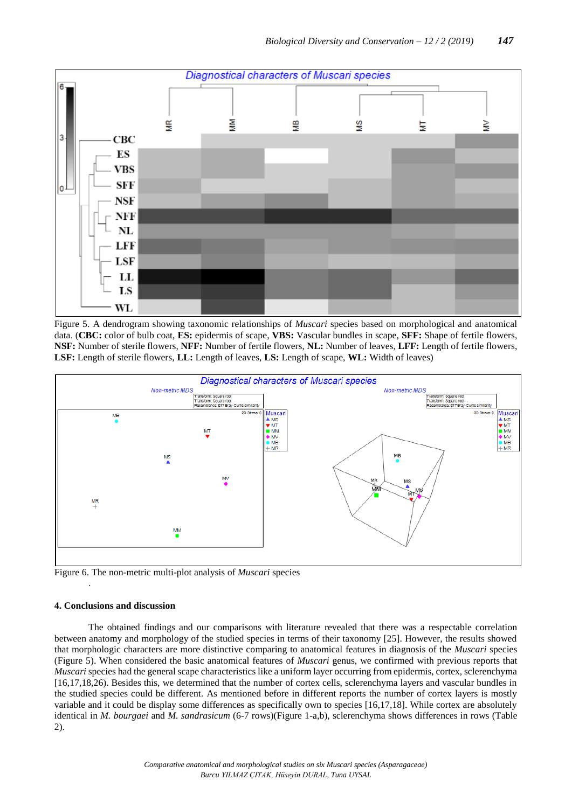

Figure 5. A dendrogram showing taxonomic relationships of *Muscari* species based on morphological and anatomical data. (**CBC:** color of bulb coat, **ES:** epidermis of scape, **VBS:** Vascular bundles in scape, **SFF:** Shape of fertile flowers, **NSF:** Number of sterile flowers, **NFF:** Number of fertile flowers, **NL:** Number of leaves, **LFF:** Length of fertile flowers, **LSF:** Length of sterile flowers, **LL:** Length of leaves, **LS:** Length of scape, **WL:** Width of leaves)



Figure 6. The non-metric multi-plot analysis of *Muscari* species

# **4. Conclusions and discussion**

.

The obtained findings and our comparisons with literature revealed that there was a respectable correlation between anatomy and morphology of the studied species in terms of their taxonomy [25]. However, the results showed that morphologic characters are more distinctive comparing to anatomical features in diagnosis of the *Muscari* species (Figure 5). When considered the basic anatomical features of *Muscari* genus, we confirmed with previous reports that *Muscari* species had the general scape characteristics like a uniform layer occurring from epidermis, cortex, sclerenchyma [16,17,18,26). Besides this, we determined that the number of cortex cells, sclerenchyma layers and vascular bundles in the studied species could be different. As mentioned before in different reports the number of cortex layers is mostly variable and it could be display some differences as specifically own to species [16,17,18]. While cortex are absolutely identical in *M. bourgaei* and *M. sandrasicum* (6-7 rows)(Figure 1-a,b), sclerenchyma shows differences in rows (Table 2).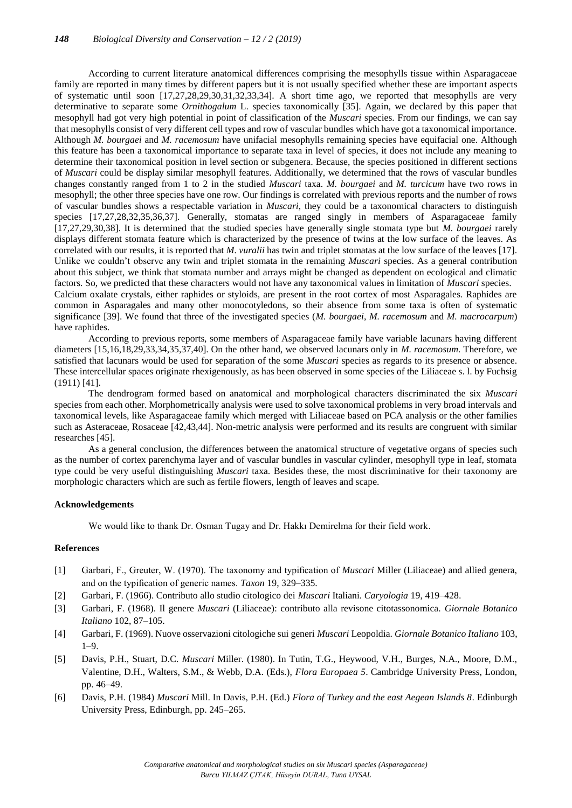According to current literature anatomical differences comprising the mesophylls tissue within Asparagaceae family are reported in many times by different papers but it is not usually specified whether these are important aspects of systematic until soon [17,27,28,29,30,31,32,33,34]. A short time ago, we reported that mesophylls are very determinative to separate some *Ornithogalum* L. species taxonomically [35]. Again, we declared by this paper that mesophyll had got very high potential in point of classification of the *Muscari* species. From our findings, we can say that mesophylls consist of very different cell types and row of vascular bundles which have got a taxonomical importance. Although *M. bourgaei* and *M. racemosum* have unifacial mesophylls remaining species have equifacial one. Although this feature has been a taxonomical importance to separate taxa in level of species, it does not include any meaning to determine their taxonomical position in level section or subgenera. Because, the species positioned in different sections of *Muscari* could be display similar mesophyll features. Additionally, we determined that the rows of vascular bundles changes constantly ranged from 1 to 2 in the studied *Muscari* taxa. *M. bourgaei* and *M. turcicum* have two rows in mesophyll; the other three species have one row. Our findings is correlated with previous reports and the number of rows of vascular bundles shows a respectable variation in *Muscari*, they could be a taxonomical characters to distinguish species [17,27,28,32,35,36,37]. Generally, stomatas are ranged singly in members of Asparagaceae family [17,27,29,30,38]. It is determined that the studied species have generally single stomata type but *M. bourgaei* rarely displays different stomata feature which is characterized by the presence of twins at the low surface of the leaves. As correlated with our results, it is reported that *M. vuralii* has twin and triplet stomatas at the low surface of the leaves [17]. Unlike we couldn't observe any twin and triplet stomata in the remaining *Muscari* species. As a general contribution about this subject, we think that stomata number and arrays might be changed as dependent on ecological and climatic factors. So, we predicted that these characters would not have any taxonomical values in limitation of *Muscari* species. Calcium oxalate crystals, either raphides or styloids, are present in the root cortex of most Asparagales. Raphides are common in Asparagales and many other monocotyledons, so their absence from some taxa is often of systematic significance [39]. We found that three of the investigated species (*M. bourgaei*, *M. racemosum* and *M. macrocarpum*) have raphides.

According to previous reports, some members of Asparagaceae family have variable lacunars having different diameters [15,16,18,29,33,34,35,37,40]. On the other hand, we observed lacunars only in *M. racemosum*. Therefore, we satisfied that lacunars would be used for separation of the some *Muscari* species as regards to its presence or absence. These intercellular spaces originate rhexigenously, as has been observed in some species of the Liliaceae s. l. by Fuchsig (1911) [41].

The dendrogram formed based on anatomical and morphological characters discriminated the six *Muscari* species from each other. Morphometrically analysis were used to solve taxonomical problems in very broad intervals and taxonomical levels, like Asparagaceae family which merged with Liliaceae based on PCA analysis or the other families such as Asteraceae, Rosaceae [42,43,44]. Non-metric analysis were performed and its results are congruent with similar researches [45].

As a general conclusion, the differences between the anatomical structure of vegetative organs of species such as the number of cortex parenchyma layer and of vascular bundles in vascular cylinder, mesophyll type in leaf, stomata type could be very useful distinguishing *Muscari* taxa. Besides these, the most discriminative for their taxonomy are morphologic characters which are such as fertile flowers, length of leaves and scape.

### **Acknowledgements**

We would like to thank Dr. Osman Tugay and Dr. Hakkı Demirelma for their field work.

#### **References**

- [1] Garbari, F., Greuter, W. (1970). The taxonomy and typification of *Muscari* Miller (Liliaceae) and allied genera, and on the typification of generic names. *Taxon* 19, 329–335.
- [2] Garbari, F. (1966). Contributo allo studio citologico dei *Muscari* Italiani. *Caryologia* 19, 419–428.
- [3] Garbari, F. (1968). Il genere *Muscari* (Liliaceae): contributo alla revisone citotassonomica. *Giornale Botanico Italiano* 102, 87–105.
- [4] Garbari, F. (1969). Nuove osservazioni citologiche sui generi *Muscari* Leopoldia. *Giornale Botanico Italiano* 103, 1–9.
- [5] Davis, P.H., Stuart, D.C. *Muscari* Miller. (1980). In Tutin, T.G., Heywood, V.H., Burges, N.A., Moore, D.M., Valentine, D.H., Walters, S.M., & Webb, D.A. (Eds.), *Flora Europaea 5*. Cambridge University Press, London, pp. 46–49.
- [6] Davis, P.H. (1984) *Muscari* Mill. In Davis, P.H. (Ed.) *Flora of Turkey and the east Aegean Islands 8*. Edinburgh University Press, Edinburgh, pp. 245–265.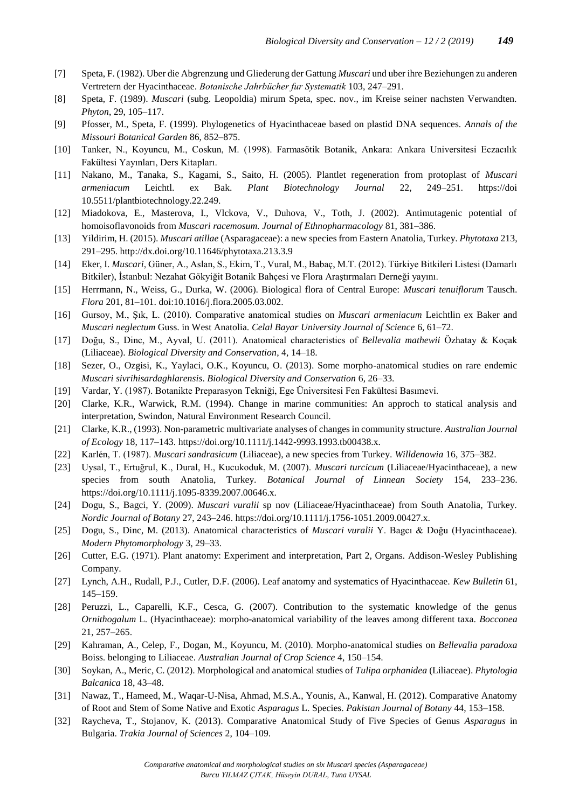- [7] Speta, F. (1982). Uber die Abgrenzung und Gliederung der Gattung *Muscari* und uber ihre Beziehungen zu anderen Vertretern der Hyacinthaceae. *Botanische Jahrbücher fur Systematik* 103, 247–291.
- [8] Speta, F. (1989). *Muscari* (subg. Leopoldia) mirum Speta, spec. nov., im Kreise seiner nachsten Verwandten. *Phyton*, 29, 105–117.
- [9] Pfosser, M., Speta, F. (1999). Phylogenetics of Hyacinthaceae based on plastid DNA sequences. *Annals of the Missouri Botanical Garden* 86, 852–875.
- [10] Tanker, N., Koyuncu, M., Coskun, M. (1998). Farmasötik Botanik, Ankara: Ankara Universitesi Eczacılık Fakültesi Yayınları, Ders Kitapları.
- [11] Nakano, M., Tanaka, S., Kagami, S., Saito, H. (2005). Plantlet regeneration from protoplast of *Muscari armeniacum* Leichtl. ex Bak. *Plant Biotechnology Journal* 22, 249–251. https://doi 10.5511/plantbiotechnology.22.249.
- [12] Miadokova, E., Masterova, I., Vlckova, V., Duhova, V., Toth, J. (2002). Antimutagenic potential of homoisoflavonoids from *Muscari racemosum. Journal of Ethnopharmacology* 81, 381–386.
- [13] Yildirim, H. (2015). *Muscari atillae* (Asparagaceae): a new species from Eastern Anatolia, Turkey. *Phytotaxa* 213, 291–295. http://dx.doi.org/10.11646/phytotaxa.213.3.9
- [14] Eker, I. *Muscari*, Güner, A., Aslan, S., Ekim, T., Vural, M., Babaç, M.T. (2012). Türkiye Bitkileri Listesi (Damarlı Bitkiler), İstanbul: Nezahat Gökyiğit Botanik Bahçesi ve Flora Araştırmaları Derneği yayını.
- [15] Herrmann, N., Weiss, G., Durka, W. (2006). Biological flora of Central Europe: *Muscari tenuiflorum* Tausch. *Flora* 201, 81–101. doi:10.1016/j.flora.2005.03.002.
- [16] Gursoy, M., Şık, L. (2010). Comparative anatomical studies on *Muscari armeniacum* Leichtlin ex Baker and *Muscari neglectum* Guss. in West Anatolia. *Celal Bayar University Journal of Science* 6, 61–72.
- [17] Doğu, S., Dinc, M., Ayval, U. (2011). Anatomical characteristics of *Bellevalia mathewii* Özhatay & Koçak (Liliaceae). *Biological Diversity and Conservation*, 4, 14–18.
- [18] Sezer, O., Ozgisi, K., Yaylaci, O.K., Koyuncu, O. (2013). Some morpho-anatomical studies on rare endemic *Muscari sivrihisardaghlarensis*. *Biological Diversity and Conservation* 6, 26–33.
- [19] Vardar, Y. (1987). Botanikte Preparasyon Tekniği, Ege Üniversitesi Fen Fakültesi Basımevi.
- [20] Clarke, K.R., Warwick, R.M. (1994). Change in marine communities: An approch to statical analysis and interpretation, Swindon, Natural Environment Research Council.
- [21] Clarke, K.R., (1993). Non-parametric multivariate analyses of changes in community structure. *Australian Journal of Ecology* 18, 117–143. https://doi.org/10.1111/j.1442-9993.1993.tb00438.x.
- [22] Karlén, T. (1987). *Muscari sandrasicum* (Liliaceae), a new species from Turkey. *Willdenowia* 16, 375–382.
- [23] Uysal, T., Ertuğrul, K., Dural, H., Kucukoduk, M. (2007). *Muscari turcicum* (Liliaceae/Hyacinthaceae), a new species from south Anatolia, Turkey. *Botanical Journal of Linnean Society* 154, 233–236. https://doi.org/10.1111/j.1095-8339.2007.00646.x.
- [24] Dogu, S., Bagci, Y. (2009). *Muscari vuralii* sp nov (Liliaceae/Hyacinthaceae) from South Anatolia, Turkey. *Nordic Journal of Botany* 27, 243–246. https://doi.org/10.1111/j.1756-1051.2009.00427.x.
- [25] Dogu, S., Dinc, M. (2013). Anatomical characteristics of *Muscari vuralii* Y. Bagcı & Doğu (Hyacinthaceae). *Modern Phytomorphology* 3, 29–33.
- [26] Cutter, E.G. (1971). Plant anatomy: Experiment and interpretation, Part 2, Organs. Addison-Wesley Publishing Company.
- [27] Lynch, A.H., Rudall, P.J., Cutler, D.F. (2006). Leaf anatomy and systematics of Hyacinthaceae. *Kew Bulletin* 61, 145–159.
- [28] Peruzzi, L., Caparelli, K.F., Cesca, G. (2007). Contribution to the systematic knowledge of the genus *Ornithogalum* L. (Hyacinthaceae): morpho-anatomical variability of the leaves among different taxa. *Bocconea* 21, 257–265.
- [29] Kahraman, A., Celep, F., Dogan, M., Koyuncu, M. (2010). Morpho-anatomical studies on *Bellevalia paradoxa* Boiss. belonging to Liliaceae. *Australian Journal of Crop Science* 4, 150–154.
- [30] Soykan, A., Meric, C. (2012). Morphological and anatomical studies of *Tulipa orphanidea* (Liliaceae). *Phytologia Balcanica* 18, 43–48.
- [31] Nawaz, T., Hameed, M., Waqar-U-Nisa, Ahmad, M.S.A., Younis, A., Kanwal, H. (2012). Comparative Anatomy of Root and Stem of Some Native and Exotic *Asparagus* L. Species. *Pakistan Journal of Botany* 44, 153–158.
- [32] Raycheva, T., Stojanov, K. (2013). Comparative Anatomical Study of Five Species of Genus *Asparagus* in Bulgaria. *Trakia Journal of Sciences* 2, 104–109.